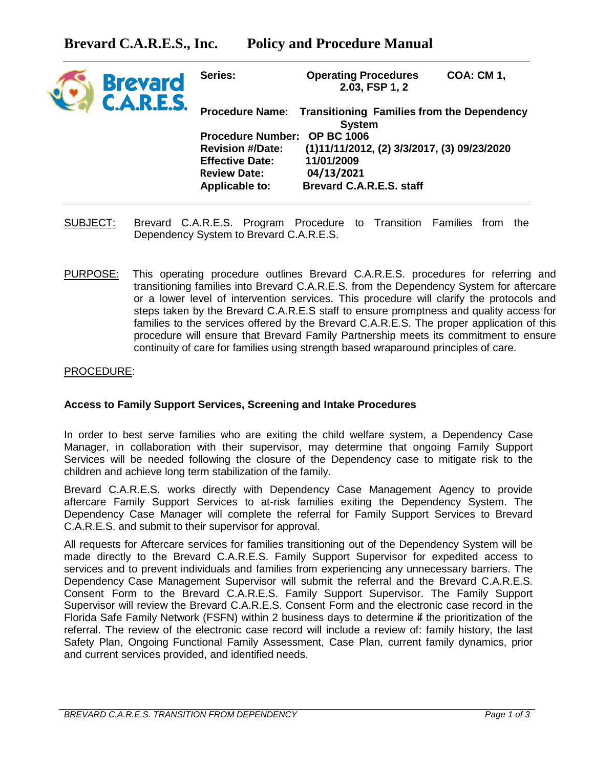|  | <b>Brevard</b><br><b>C.A.R.E.S.</b> | Series:                                                                                      | <b>Operating Procedures</b>                   | 2.03, FSP 1, 2 | <b>COA: CM 1,</b>                           |
|--|-------------------------------------|----------------------------------------------------------------------------------------------|-----------------------------------------------|----------------|---------------------------------------------|
|  |                                     | <b>Transitioning Families from the Dependency</b><br><b>Procedure Name:</b><br><b>System</b> |                                               |                |                                             |
|  |                                     |                                                                                              |                                               |                |                                             |
|  |                                     | <b>Procedure Number:</b><br><b>OP BC 1006</b>                                                |                                               |                |                                             |
|  |                                     | <b>Revision #/Date:</b>                                                                      |                                               |                | (1)11/11/2012, (2) 3/3/2017, (3) 09/23/2020 |
|  |                                     | <b>Effective Date:</b>                                                                       | 11/01/2009                                    |                |                                             |
|  |                                     | <b>Review Date:</b>                                                                          | 04/13/2021<br><b>Brevard C.A.R.E.S. staff</b> |                |                                             |
|  |                                     | <b>Applicable to:</b>                                                                        |                                               |                |                                             |
|  |                                     |                                                                                              |                                               |                |                                             |

- SUBJECT: Brevard C.A.R.E.S. Program Procedure to Transition Families from the Dependency System to Brevard C.A.R.E.S.
- PURPOSE: This operating procedure outlines Brevard C.A.R.E.S. procedures for referring and transitioning families into Brevard C.A.R.E.S. from the Dependency System for aftercare or a lower level of intervention services. This procedure will clarify the protocols and steps taken by the Brevard C.A.R.E.S staff to ensure promptness and quality access for families to the services offered by the Brevard C.A.R.E.S. The proper application of this procedure will ensure that Brevard Family Partnership meets its commitment to ensure continuity of care for families using strength based wraparound principles of care.

## PROCEDURE:

## **Access to Family Support Services, Screening and Intake Procedures**

In order to best serve families who are exiting the child welfare system, a Dependency Case Manager, in collaboration with their supervisor, may determine that ongoing Family Support Services will be needed following the closure of the Dependency case to mitigate risk to the children and achieve long term stabilization of the family.

Brevard C.A.R.E.S. works directly with Dependency Case Management Agency to provide aftercare Family Support Services to at-risk families exiting the Dependency System. The Dependency Case Manager will complete the referral for Family Support Services to Brevard C.A.R.E.S. and submit to their supervisor for approval.

All requests for Aftercare services for families transitioning out of the Dependency System will be made directly to the Brevard C.A.R.E.S. Family Support Supervisor for expedited access to services and to prevent individuals and families from experiencing any unnecessary barriers. The Dependency Case Management Supervisor will submit the referral and the Brevard C.A.R.E.S. Consent Form to the Brevard C.A.R.E.S. Family Support Supervisor. The Family Support Supervisor will review the Brevard C.A.R.E.S. Consent Form and the electronic case record in the Florida Safe Family Network (FSFN) within 2 business days to determine if the prioritization of the referral. The review of the electronic case record will include a review of: family history, the last Safety Plan, Ongoing Functional Family Assessment, Case Plan, current family dynamics, prior and current services provided, and identified needs.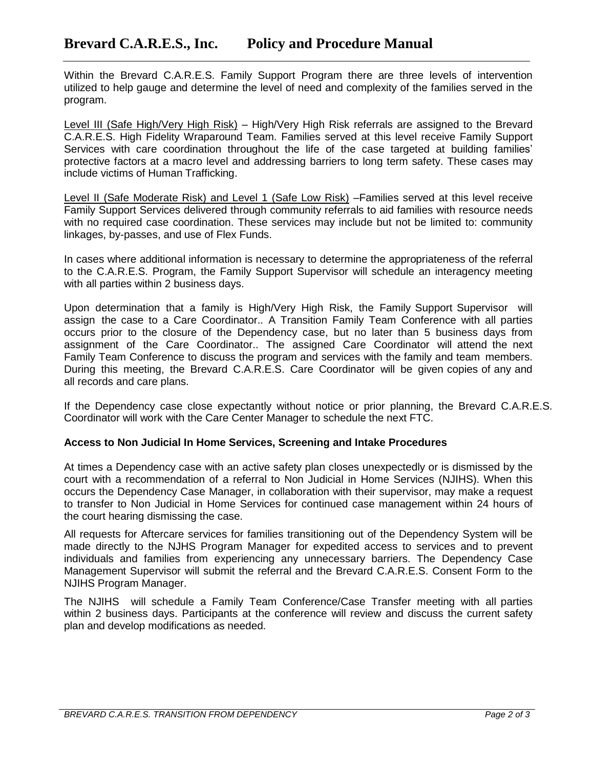Within the Brevard C.A.R.E.S. Family Support Program there are three levels of intervention utilized to help gauge and determine the level of need and complexity of the families served in the program.

Level III (Safe High/Very High Risk) – High/Very High Risk referrals are assigned to the Brevard C.A.R.E.S. High Fidelity Wraparound Team. Families served at this level receive Family Support Services with care coordination throughout the life of the case targeted at building families' protective factors at a macro level and addressing barriers to long term safety. These cases may include victims of Human Trafficking.

Level II (Safe Moderate Risk) and Level 1 (Safe Low Risk) –Families served at this level receive Family Support Services delivered through community referrals to aid families with resource needs with no required case coordination. These services may include but not be limited to: community linkages, by-passes, and use of Flex Funds.

In cases where additional information is necessary to determine the appropriateness of the referral to the C.A.R.E.S. Program, the Family Support Supervisor will schedule an interagency meeting with all parties within 2 business days.

Upon determination that a family is High/Very High Risk, the Family Support Supervisor will assign the case to a Care Coordinator.. A Transition Family Team Conference with all parties occurs prior to the closure of the Dependency case, but no later than 5 business days from assignment of the Care Coordinator.. The assigned Care Coordinator will attend the next Family Team Conference to discuss the program and services with the family and team members. During this meeting, the Brevard C.A.R.E.S. Care Coordinator will be given copies of any and all records and care plans.

If the Dependency case close expectantly without notice or prior planning, the Brevard C.A.R.E.S. Coordinator will work with the Care Center Manager to schedule the next FTC.

## **Access to Non Judicial In Home Services, Screening and Intake Procedures**

At times a Dependency case with an active safety plan closes unexpectedly or is dismissed by the court with a recommendation of a referral to Non Judicial in Home Services (NJIHS). When this occurs the Dependency Case Manager, in collaboration with their supervisor, may make a request to transfer to Non Judicial in Home Services for continued case management within 24 hours of the court hearing dismissing the case.

All requests for Aftercare services for families transitioning out of the Dependency System will be made directly to the NJHS Program Manager for expedited access to services and to prevent individuals and families from experiencing any unnecessary barriers. The Dependency Case Management Supervisor will submit the referral and the Brevard C.A.R.E.S. Consent Form to the NJIHS Program Manager.

The NJIHS will schedule a Family Team Conference/Case Transfer meeting with all parties within 2 business days. Participants at the conference will review and discuss the current safety plan and develop modifications as needed.